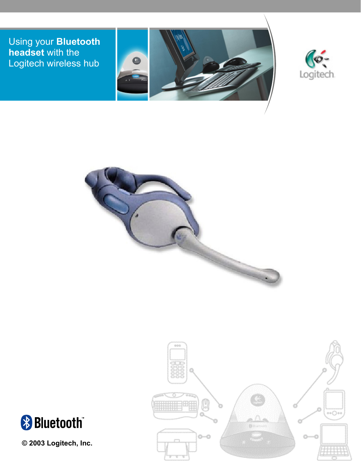Using your **Bluetooth headset** with the Logitech wireless hub









**© 2003 Logitech, Inc.** 

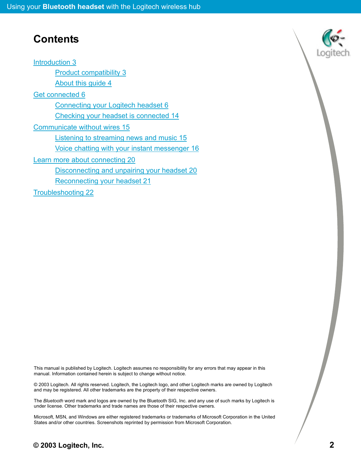## **Contents**

[Introduction 3](#page-2-0)

[Product compatibility 3](#page-2-0) [About this guide 4](#page-3-0) [Get connected 6](#page-5-0) [Connecting your Logitech headset 6](#page-5-0) [Checking your headset is connected 14](#page-13-0) [Communicate without wires 15](#page-14-0) [Listening to streaming news and music 15](#page-14-0) [Voice chatting with your instant messenger 16](#page-15-0) [Learn more about connecting 20](#page-19-0) [Disconnecting and unpairing your headset 20](#page-19-0) [Reconnecting your headset 21](#page-20-0) [Troubleshooting 22](#page-21-0)

This manual is published by Logitech. Logitech assumes no responsibility for any errors that may appear in this manual. Information contained herein is subject to change without notice.

© 2003 Logitech. All rights reserved. Logitech, the Logitech logo, and other Logitech marks are owned by Logitech and may be registered. All other trademarks are the property of their respective owners.

The *Bluetooth* word mark and logos are owned by the Bluetooth SIG, Inc. and any use of such marks by Logitech is under license. Other trademarks and trade names are those of their respective owners.

Microsoft, MSN, and Windows are either registered trademarks or trademarks of Microsoft Corporation in the United States and/or other countries. Screenshots reprinted by permission from Microsoft Corporation.

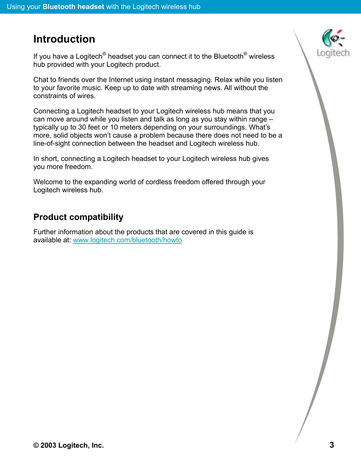# <span id="page-2-0"></span>**Introduction**

If you have a Logitech<sup>®</sup> headset you can connect it to the Bluetooth<sup>®</sup> wireless hub provided with your Logitech product.

Chat to friends over the Internet using instant messaging. Relax while you listen to your favorite music. Keep up to date with streaming news. All without the constraints of wires.

Connecting a Logitech headset to your Logitech wireless hub means that you can move around while you listen and talk as long as you stay within range – typically up to 30 feet or 10 meters depending on your surroundings. What's more, solid objects won't cause a problem because there does not need to be a line-of-sight connection between the headset and Logitech wireless hub.

In short, connecting a Logitech headset to your Logitech wireless hub gives you more freedom.

Welcome to the expanding world of cordless freedom offered through your Logitech wireless hub.

### **Product compatibility**

Further information about the products that are covered in this guide is available at: [www.logitech.com/bluetooth/howto](http://www.logitech.com/bluetooth/howto)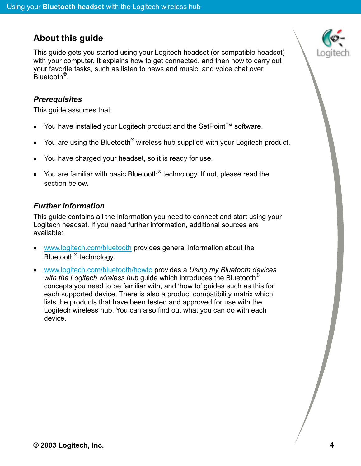### <span id="page-3-0"></span>**About this guide**

This guide gets you started using your Logitech headset (or compatible headset) with your computer. It explains how to get connected, and then how to carry out your favorite tasks, such as listen to news and music, and voice chat over Bluetooth®.

#### *Prerequisites*

This guide assumes that:

- You have installed your Logitech product and the SetPoint™ software.
- You are using the Bluetooth<sup>®</sup> wireless hub supplied with your Logitech product.
- You have charged your headset, so it is ready for use.
- You are familiar with basic Bluetooth<sup>®</sup> technology. If not, please read the section below.

#### *Further information*

This guide contains all the information you need to connect and start using your Logitech headset. If you need further information, additional sources are available:

- [www.logitech.com/bluetooth](http://www.logitech.com/bluetooth) provides general information about the Bluetooth® technology.
- [www.logitech.com/bluetooth/howto](http://www.logitech.com/bluetooth/howto) provides a *Using my Bluetooth devices with the Logitech wireless hub* guide which introduces the Bluetooth® concepts you need to be familiar with, and 'how to' guides such as this for each supported device. There is also a product compatibility matrix which lists the products that have been tested and approved for use with the Logitech wireless hub. You can also find out what you can do with each device.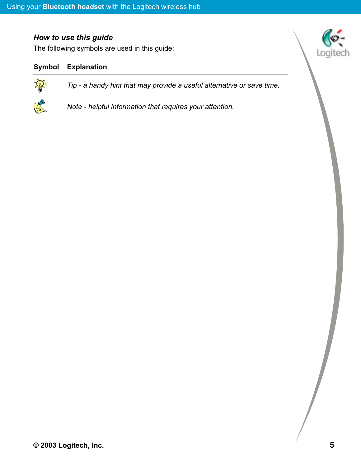#### *How to use this guide*

The following symbols are used in this guide:

#### **Symbol Explanation**

 $\hat{\mathcal{P}}$ 

*Tip - a handy hint that may provide a useful alternative or save time.* 



*Note - helpful information that requires your attention.*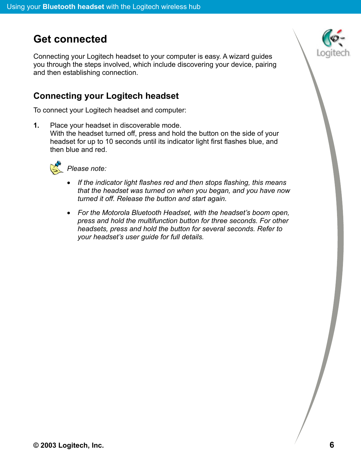# <span id="page-5-0"></span>**Get connected**

Connecting your Logitech headset to your computer is easy. A wizard guides you through the steps involved, which include discovering your device, pairing and then establishing connection.

### **Connecting your Logitech headset**

To connect your Logitech headset and computer:

**1.** Place your headset in discoverable mode.

With the headset turned off, press and hold the button on the side of your headset for up to 10 seconds until its indicator light first flashes blue, and then blue and red.



**Please note:** 

- *If the indicator light flashes red and then stops flashing, this means that the headset was turned on when you began, and you have now turned it off. Release the button and start again.*
- *For the Motorola Bluetooth Headset, with the headset's boom open, press and hold the multifunction button for three seconds. For other headsets, press and hold the button for several seconds. Refer to your headset's user guide for full details.*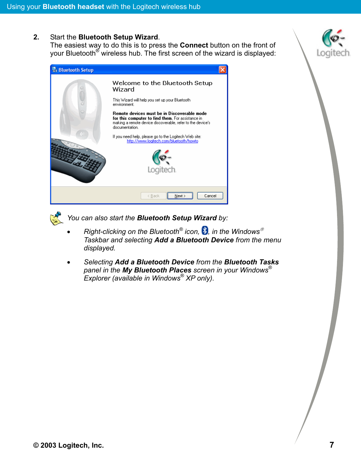#### **2.** Start the **Bluetooth Setup Wizard**.

The easiest way to do this is to press the **Connect** button on the front of your Bluetooth<sup>®</sup> wireless hub. The first screen of the wizard is displayed:





*You can also start the Bluetooth Setup Wizard by:* 

- *Right-clicking on the Bluetooth® icon, , in the Windows Taskbar and selecting Add a Bluetooth Device from the menu displayed.*
- *Selecting Add a Bluetooth Device from the Bluetooth Tasks panel in the My Bluetooth Places screen in your Windows® Explorer (available in Windows® XP only).*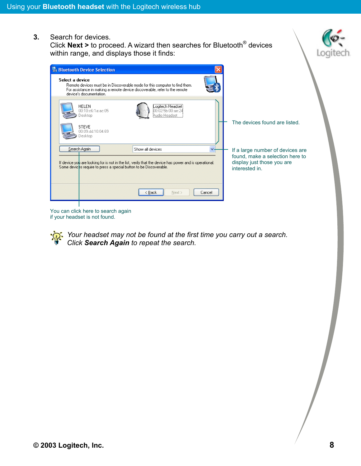**3.** Search for devices.

Click **Next >** to proceed. A wizard then searches for Bluetooth® devices within range, and displays those it finds:



You can click here to search again if your headset is not found.

> *Your headset may not be found at the first time you carry out a search. Click Search Again to repeat the search.*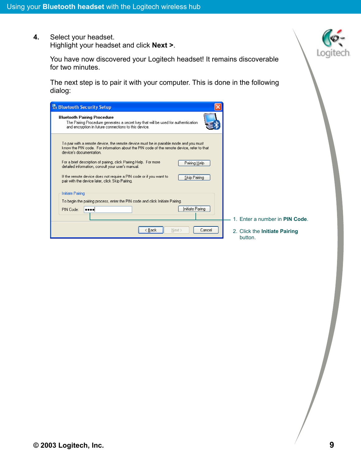**4.** Select your headset. Highlight your headset and click **Next >**.

> You have now discovered your Logitech headset! It remains discoverable for two minutes.

> The next step is to pair it with your computer. This is done in the following dialog:

| <b>Bluetooth Security Setup</b>                                                                                                                                                                               |                                          |
|---------------------------------------------------------------------------------------------------------------------------------------------------------------------------------------------------------------|------------------------------------------|
| <b>Bluetooth Pairing Procedure</b><br>The Pairing Procedure generates a secret key that will be used for authentication<br>and encryption in future connections to this device.                               |                                          |
| To pair with a remote device, the remote device must be in pairable mode and you must<br>know the PIN code. For information about the PIN code of the remote device, refer to that<br>device's documentation. |                                          |
| For a brief description of pairing, click Pairing Help. For more<br>Pairing Help<br>detailed information, consult your user's manual.                                                                         |                                          |
| If the remote device does not require a PIN code or if you want to<br>Skip Pairing<br>pair with the device later, click Skip Pairing.                                                                         |                                          |
| Initiate Pairing                                                                                                                                                                                              |                                          |
| To begin the pairing process, enter the PIN code and click Initiate Pairing.<br>Initiate Paring<br>PIN Code:<br>annal                                                                                         |                                          |
|                                                                                                                                                                                                               | 1. Enter a number in <b>PIN Code</b> .   |
| < Back<br>Next ><br>Cancel                                                                                                                                                                                    | 2. Click the Initiate Pairing<br>button. |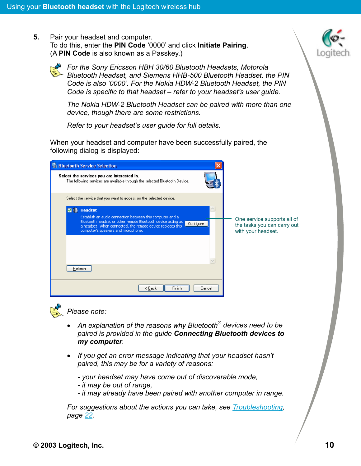**5.** Pair your headset and computer. To do this, enter the **PIN Code** '0000' and click **Initiate Pairing**. (A **PIN Code** is also known as a Passkey.)



*For the Sony Ericsson HBH 30/60 Bluetooth Headsets, Motorola Bluetooth Headset, and Siemens HHB-500 Bluetooth Headset, the PIN Code is also '0000'. For the Nokia HDW-2 Bluetooth Headset, the PIN Code is specific to that headset – refer to your headset's user guide.* 

*The Nokia HDW-2 Bluetooth Headset can be paired with more than one device, though there are some restrictions.* 

*Refer to your headset's user guide for full details.* 

When your headset and computer have been successfully paired, the following dialog is displayed:

| <b>Bluetooth Service Selection</b>                                                                                                                                                                                                          |                                                                                  |
|---------------------------------------------------------------------------------------------------------------------------------------------------------------------------------------------------------------------------------------------|----------------------------------------------------------------------------------|
| Select the services you are interested in.<br>The following services are available through the selected Bluetooth Device.                                                                                                                   |                                                                                  |
| Select the service that you want to access on the selected device.                                                                                                                                                                          |                                                                                  |
| <b>Headset</b>                                                                                                                                                                                                                              |                                                                                  |
| Establish an audio connection between this computer and a<br>Bluetooth headset or other remote Bluetooth device acting as<br>Configure<br>a headset. When connected, the remote device replaces this<br>computer's speakers and microphone. | One service supports all of<br>the tasks you can carry out<br>with your headset. |
| <b>Heltesh</b>                                                                                                                                                                                                                              |                                                                                  |
| Finish<br>< Back<br>Cancel                                                                                                                                                                                                                  |                                                                                  |



*Please note:* 

- *An explanation of the reasons why Bluetooth® devices need to be paired is provided in the guide Connecting Bluetooth devices to my computer.*
- *If you get an error message indicating that your headset hasn't paired, this may be for a variety of reasons:* 
	- *your headset may have come out of discoverable mode,*
	- *it may be out of range,*
	- *it may already have been paired with another computer in range.*

*For suggestions about the actions you can take, see [Troubleshooting,](#page-21-0)  page [22](#page-21-0).*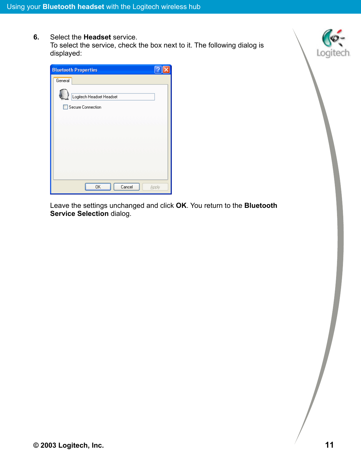**6.** Select the **Headset** service. To select the service, check the box next to it. The following dialog is displayed:



Leave the settings unchanged and click **OK**. You return to the **Bluetooth Service Selection** dialog.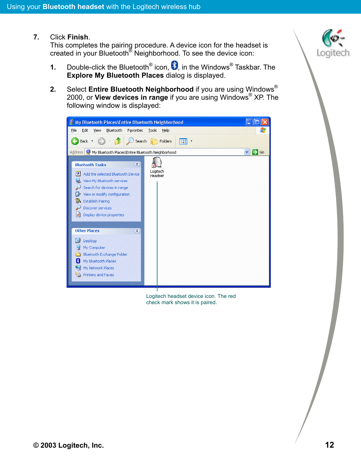**7.** Click **Finish**.

This completes the pairing procedure. A device icon for the headset is created in your Bluetooth® Neighborhood. To see the device icon:

- **1.** Double-click the Bluetooth<sup>®</sup> icon,  $\bullet$ , in the Windows<sup>®</sup> Taskbar. The **Explore My Bluetooth Places** dialog is displayed.
- **2.** Select **Entire Bluetooth Neighborhood** if you are using Windows® 2000, or **View devices in range** if you are using Windows® XP. The following window is displayed:



Logitech headset device icon. The red check mark shows it is paired.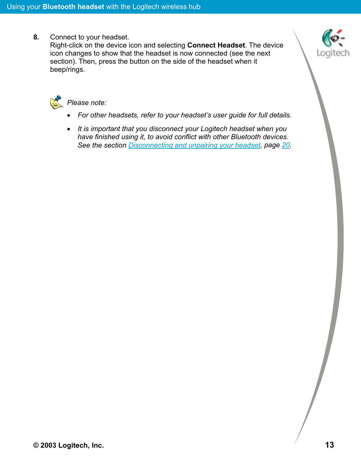**8.** Connect to your headset.

Right-click on the device icon and selecting **Connect Headset**. The device icon changes to show that the headset is now connected (see the next section). Then, press the button on the side of the headset when it beep/rings.





#### **图 Please note:**

- *For other headsets, refer to your headset's user guide for full details.*
- *It is important that you disconnect your Logitech headset when you have finished using it, to avoid conflict with other Bluetooth devices. See the section [Disconnecting and unpairing your headset,](#page-19-0) page [20](#page-19-0).*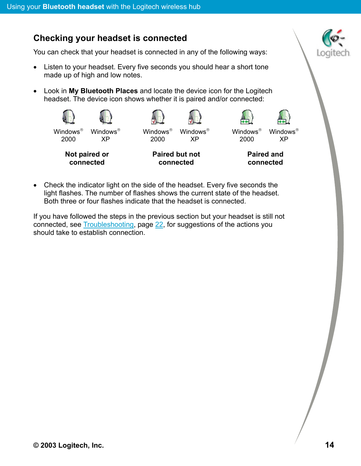### <span id="page-13-0"></span>**Checking your headset is connected**

You can check that your headset is connected in any of the following ways:

- Listen to your headset. Every five seconds you should hear a short tone made up of high and low notes.
- Look in **My Bluetooth Places** and locate the device icon for the Logitech headset. The device icon shows whether it is paired and/or connected:



• Check the indicator light on the side of the headset. Every five seconds the light flashes. The number of flashes shows the current state of the headset. Both three or four flashes indicate that the headset is connected.

If you have followed the steps in the previous section but your headset is still not connected, see [Troubleshooting,](#page-21-0) page [22](#page-21-0), for suggestions of the actions you should take to establish connection.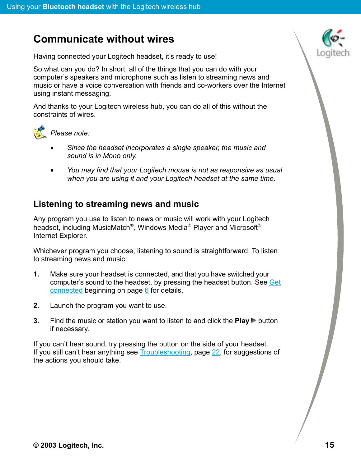# <span id="page-14-0"></span>**Communicate without wires**

Having connected your Logitech headset, it's ready to use!

So what can you do? In short, all of the things that you can do with your computer's speakers and microphone such as listen to streaming news and music or have a voice conversation with friends and co-workers over the Internet using instant messaging.

And thanks to your Logitech wireless hub, you can do all of this without the constraints of wires.



- *Since the headset incorporates a single speaker, the music and sound is in Mono only.*
- *You may find that your Logitech mouse is not as responsive as usual when you are using it and your Logitech headset at the same time.*

### **Listening to streaming news and music**

Any program you use to listen to news or music will work with your Logitech headset, including MusicMatch®, Windows Media® Player and Microsoft® Internet Explorer.

Whichever program you choose, listening to sound is straightforward. To listen to streaming news and music:

- **1.** Make sure your headset is connected, and that you have switched your computer's sound to the headset, by pressing the headset button. See [Get](#page-5-0) [connected](#page-5-0) beginning on page  $6$  for details.
- **2.** Launch the program you want to use.
- **3.** Find the music or station you want to listen to and click the **Play** button if necessary.

If you can't hear sound, try pressing the button on the side of your headset. If you still can't hear anything see **Troubleshooting**, page [22](#page-21-0), for suggestions of the actions you should take.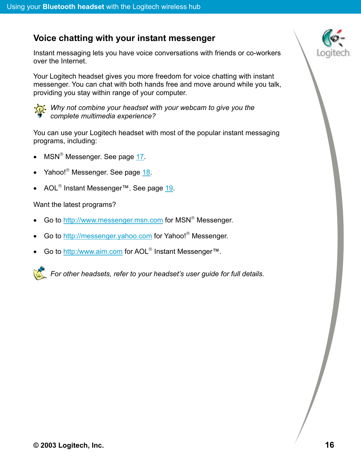#### <span id="page-15-0"></span>**Voice chatting with your instant messenger**

Instant messaging lets you have voice conversations with friends or co-workers over the Internet.

Your Logitech headset gives you more freedom for voice chatting with instant messenger. You can chat with both hands free and move around while you talk, providing you stay within range of your computer.



*Why not combine your headset with your webcam to give you the complete multimedia experience?* 

You can use your Logitech headset with most of the popular instant messaging programs, including:

- MSN<sup>®</sup> Messenger. See page [17](#page-16-0).
- Yahoo!<sup>®</sup> Messenger. See page [18](#page-17-0).
- AOL<sup>®</sup> Instant Messenger™. See page [19](#page-18-0).

Want the latest programs?

- Go to [http://www.messenger.msn.com](http://www.messenger.msn.com/) for MSN<sup>®</sup> Messenger.
- Go to [http://messenger.yahoo.com](http://messenger.yahoo.com/) for Yahoo!<sup>®</sup> Messenger.
- Go to [http:/www.aim.com](http://www.aol.co.uk/aim/download.html) for AOL<sup>®</sup> Instant Messenger™.

*For other headsets, refer to your headset's user guide for full details.*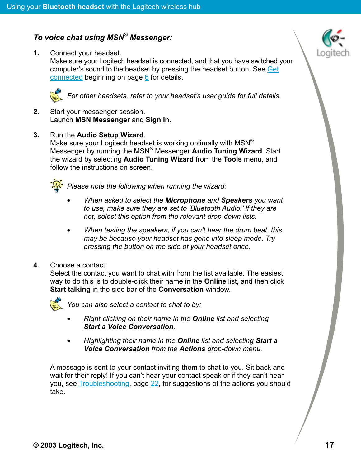#### <span id="page-16-0"></span>*To voice chat using MSN® Messenger:*

**1.** Connect your headset. Make sure your Logitech headset is connected, and that you have switched your computer's sound to the headset by pressing the headset button. See [Get](#page-5-0) [connected](#page-5-0) beginning on page [6](#page-5-0) for details.



**For other headsets, refer to your headset's user guide for full details.** 

**2.** Start your messenger session. Launch **MSN Messenger** and **Sign In**.

**3.** Run the **Audio Setup Wizard**. Make sure your Logitech headset is working optimally with MSN<sup>®</sup> Messenger by running the MSN® Messenger **Audio Tuning Wizard**. Start the wizard by selecting **Audio Tuning Wizard** from the **Tools** menu, and follow the instructions on screen.



*Please note the following when running the wizard:* 

- *When asked to select the Microphone and Speakers you want to use, make sure they are set to 'Bluetooth Audio.' If they are not, select this option from the relevant drop-down lists.*
- *When testing the speakers, if you can't hear the drum beat, this may be because your headset has gone into sleep mode. Try pressing the button on the side of your headset once.*
- **4.** Choose a contact.

Select the contact you want to chat with from the list available. The easiest way to do this is to double-click their name in the **Online** list, and then click **Start talking** in the side bar of the **Conversation** window.



*You can also select a contact to chat to by:* 

- *Right-clicking on their name in the Online list and selecting Start a Voice Conversation.*
- *Highlighting their name in the Online list and selecting Start a Voice Conversation from the Actions drop-down menu.*

A message is sent to your contact inviting them to chat to you. Sit back and wait for their reply! If you can't hear your contact speak or if they can't hear you, see [Troubleshooting,](#page-21-0) page [22](#page-21-0), for suggestions of the actions you should take.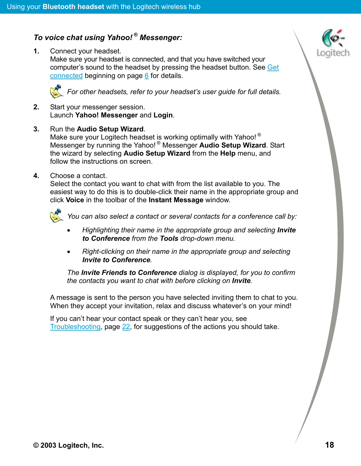#### <span id="page-17-0"></span>*To voice chat using Yahoo! ® Messenger:*

**1.** Connect your headset. Make sure your headset is connected, and that you have switched your computer's sound to the headset by pressing the headset button. See [Get](#page-5-0) [connected](#page-5-0) beginning on page [6](#page-5-0) for details.



*For other headsets, refer to your headset's user guide for full details.* 

- **2.** Start your messenger session. Launch **Yahoo! Messenger** and **Login**.
- **3.** Run the **Audio Setup Wizard**. Make sure your Logitech headset is working optimally with Yahoo!<sup>®</sup> Messenger by running the Yahoo! ® Messenger **Audio Setup Wizard**. Start the wizard by selecting **Audio Setup Wizard** from the **Help** menu, and follow the instructions on screen.
- **4.** Choose a contact.

Select the contact you want to chat with from the list available to you. The easiest way to do this is to double-click their name in the appropriate group and click **Voice** in the toolbar of the **Instant Message** window.



*You can also select a contact or several contacts for a conference call by:* 

- *Highlighting their name in the appropriate group and selecting Invite to Conference from the Tools drop-down menu.*
- *Right-clicking on their name in the appropriate group and selecting Invite to Conference.*

*The Invite Friends to Conference dialog is displayed, for you to confirm the contacts you want to chat with before clicking on Invite.* 

A message is sent to the person you have selected inviting them to chat to you. When they accept your invitation, relax and discuss whatever's on your mind!

If you can't hear your contact speak or they can't hear you, see [Troubleshooting,](#page-21-0) page [22](#page-21-0), for suggestions of the actions you should take.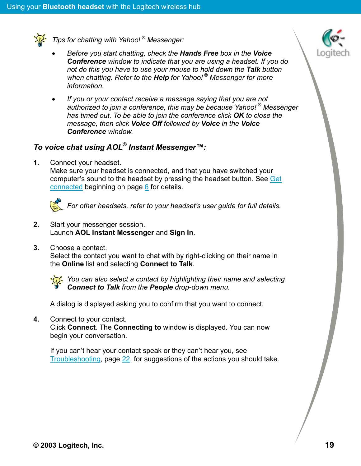<span id="page-18-0"></span>

*Tips for chatting with Yahoo! ® Messenger:* 

- *Before you start chatting, check the Hands Free box in the Voice Conference window to indicate that you are using a headset. If you do not do this you have to use your mouse to hold down the Talk button when chatting. Refer to the Help for Yahoo! ® Messenger for more information.*
- *If you or your contact receive a message saying that you are not authorized to join a conference, this may be because Yahoo! ® Messenger has timed out. To be able to join the conference click OK to close the message, then click Voice Off followed by Voice in the Voice Conference window.*

### *To voice chat using AOL® Instant Messenger™:*

**1.** Connect your headset.

Make sure your headset is connected, and that you have switched your computer's sound to the headset by pressing the headset button. See [Get](#page-5-0) [connected](#page-5-0) beginning on page [6](#page-5-0) for details.



- **2.** Start your messenger session. Launch **AOL Instant Messenger** and **Sign In**.
- **3.** Choose a contact.

Select the contact you want to chat with by right-clicking on their name in the **Online** list and selecting **Connect to Talk**.



*You can also select a contact by highlighting their name and selecting Connect to Talk from the People drop-down menu.* 

A dialog is displayed asking you to confirm that you want to connect.

**4.** Connect to your contact.

Click **Connect**. The **Connecting to** window is displayed. You can now begin your conversation.

If you can't hear your contact speak or they can't hear you, see [Troubleshooting,](#page-21-0) page [22](#page-21-0), for suggestions of the actions you should take.

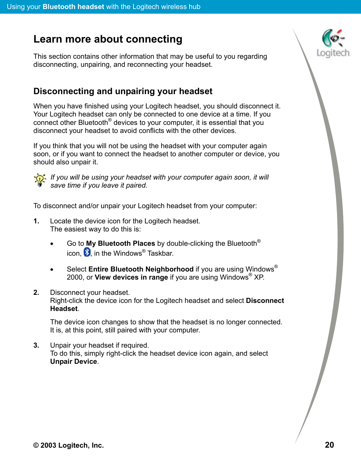# <span id="page-19-0"></span>**Learn more about connecting**

This section contains other information that may be useful to you regarding disconnecting, unpairing, and reconnecting your headset.

#### **Disconnecting and unpairing your headset**

When you have finished using your Logitech headset, you should disconnect it. Your Logitech headset can only be connected to one device at a time. If you connect other Bluetooth® devices to your computer, it is essential that you disconnect your headset to avoid conflicts with the other devices.

If you think that you will not be using the headset with your computer again soon, or if you want to connect the headset to another computer or device, you should also unpair it.



*If you will be using your headset with your computer again soon, it will save time if you leave it paired.* 

To disconnect and/or unpair your Logitech headset from your computer:

- **1.** Locate the device icon for the Logitech headset. The easiest way to do this is:
	- Go to **My Bluetooth Places** by double-clicking the Bluetooth® icon,  $\left| \cdot \right|$  in the Windows<sup>®</sup> Taskbar.
	- Select **Entire Bluetooth Neighborhood** if you are using Windows® 2000, or **View devices in range** if you are using Windows® XP.
- **2.** Disconnect your headset.

Right-click the device icon for the Logitech headset and select **Disconnect Headset**.

The device icon changes to show that the headset is no longer connected. It is, at this point, still paired with your computer.

**3.** Unpair your headset if required. To do this, simply right-click the headset device icon again, and select **Unpair Device**.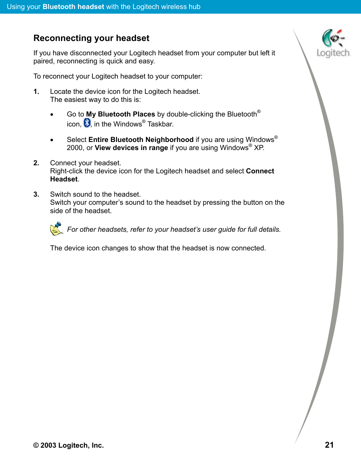#### <span id="page-20-0"></span>**Reconnecting your headset**

If you have disconnected your Logitech headset from your computer but left it paired, reconnecting is quick and easy.

To reconnect your Logitech headset to your computer:

- **1.** Locate the device icon for the Logitech headset. The easiest way to do this is:
	- Go to **My Bluetooth Places** by double-clicking the Bluetooth® icon,  $\blacktriangleright$  in the Windows<sup>®</sup> Taskbar.
	- Select **Entire Bluetooth Neighborhood** if you are using Windows® 2000, or **View devices in range** if you are using Windows® XP.
- **2.** Connect your headset. Right-click the device icon for the Logitech headset and select **Connect Headset**.
- **3.** Switch sound to the headset. Switch your computer's sound to the headset by pressing the button on the side of the headset.



The device icon changes to show that the headset is now connected.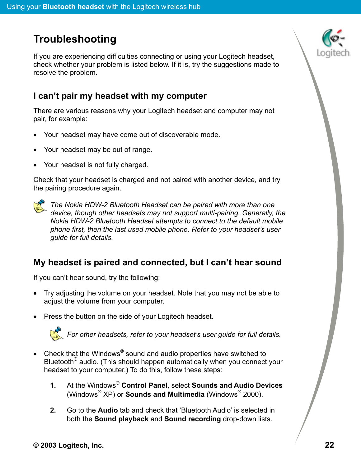# <span id="page-21-0"></span>**Troubleshooting**

If you are experiencing difficulties connecting or using your Logitech headset, check whether your problem is listed below. If it is, try the suggestions made to resolve the problem.

#### **I can't pair my headset with my computer**

There are various reasons why your Logitech headset and computer may not pair, for example:

- Your headset may have come out of discoverable mode.
- Your headset may be out of range.
- Your headset is not fully charged.

Check that your headset is charged and not paired with another device, and try the pairing procedure again.



*The Nokia HDW-2 Bluetooth Headset can be paired with more than one device, though other headsets may not support multi-pairing. Generally, the Nokia HDW-2 Bluetooth Headset attempts to connect to the default mobile phone first, then the last used mobile phone. Refer to your headset's user guide for full details.* 

### **My headset is paired and connected, but I can't hear sound**

If you can't hear sound, try the following:

- Try adjusting the volume on your headset. Note that you may not be able to adjust the volume from your computer.
- Press the button on the side of your Logitech headset.



**For other headsets, refer to your headset's user guide for full details.** 

- Check that the Windows® sound and audio properties have switched to Bluetooth® audio. (This should happen automatically when you connect your headset to your computer.) To do this, follow these steps:
	- **1.** At the Windows® **Control Panel**, select **Sounds and Audio Devices** (Windows® XP) or **Sounds and Multimedia** (Windows® 2000).
	- **2.** Go to the **Audio** tab and check that 'Bluetooth Audio' is selected in both the **Sound playback** and **Sound recording** drop-down lists.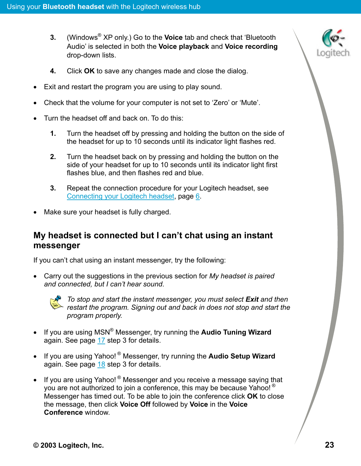- **3.** (Windows® XP only.) Go to the **Voice** tab and check that 'Bluetooth Audio' is selected in both the **Voice playback** and **Voice recording** drop-down lists.
- **4.** Click **OK** to save any changes made and close the dialog.
- Exit and restart the program you are using to play sound.
- Check that the volume for your computer is not set to 'Zero' or 'Mute'.
- Turn the headset off and back on. To do this:
	- **1.** Turn the headset off by pressing and holding the button on the side of the headset for up to 10 seconds until its indicator light flashes red.
	- **2.** Turn the headset back on by pressing and holding the button on the side of your headset for up to 10 seconds until its indicator light first flashes blue, and then flashes red and blue.
	- **3.** Repeat the connection procedure for your Logitech headset, see [Connecting your Logitech headset,](#page-5-0) page [6.](#page-5-0)
- Make sure your headset is fully charged.

#### **My headset is connected but I can't chat using an instant messenger**

If you can't chat using an instant messenger, try the following:

• Carry out the suggestions in the previous section for *My headset is paired and connected, but I can't hear sound*.



*To stop and start the instant messenger, you must select Exit and then restart the program. Signing out and back in does not stop and start the program properly.* 

- If you are using MSN® Messenger, try running the **Audio Tuning Wizard** again. See page [17](#page-16-0) step 3 for details.
- If you are using Yahoo! ® Messenger, try running the **Audio Setup Wizard** again. See page [18](#page-17-0) step 3 for details.
- If you are using Yahoo!  $^{\circledR}$  Messenger and you receive a message saying that you are not authorized to join a conference, this may be because Yahoo! ® Messenger has timed out. To be able to join the conference click **OK** to close the message, then click **Voice Off** followed by **Voice** in the **Voice Conference** window.